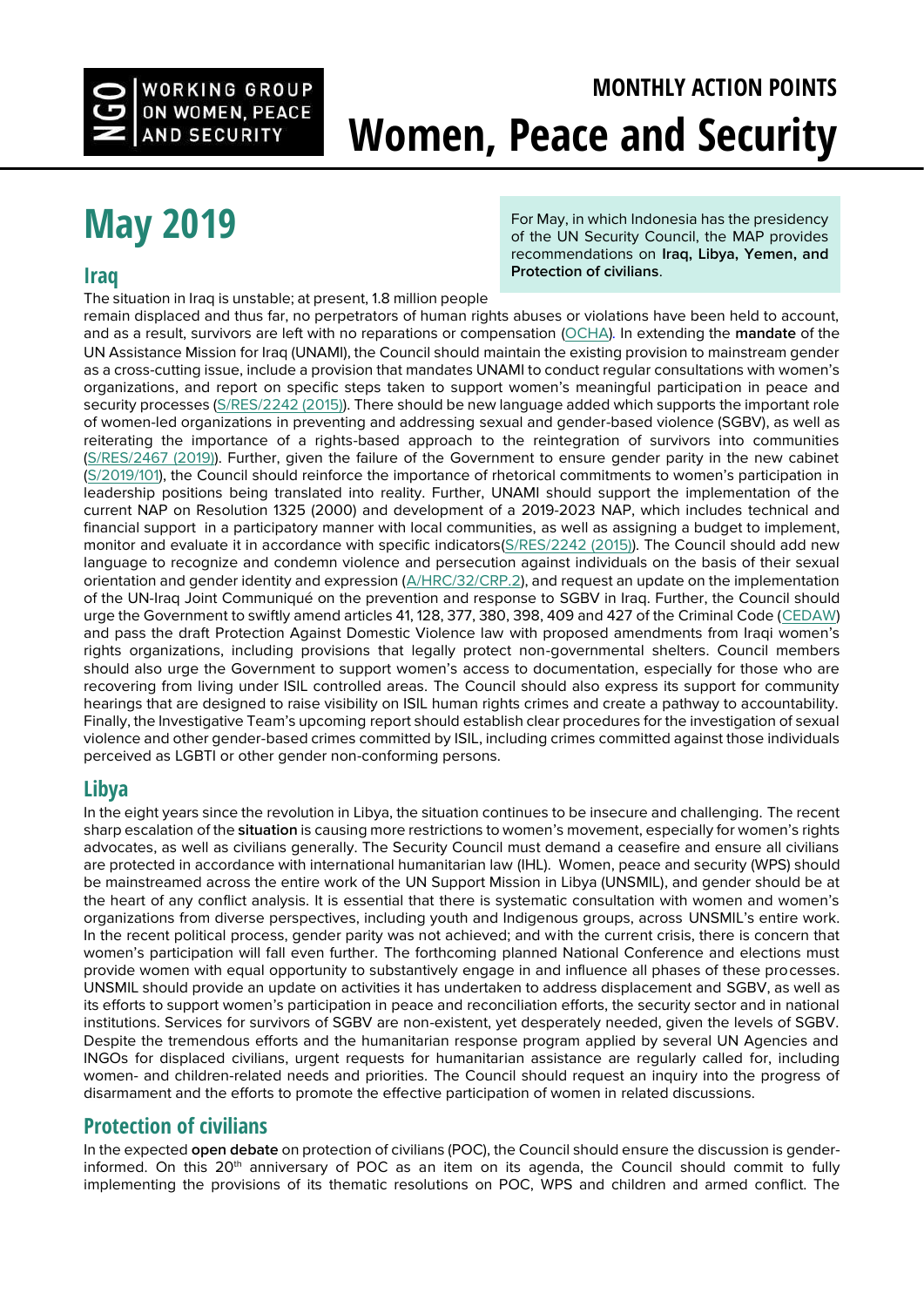

# **MONTHLY ACTION POINTS Women, Peace and Security**

# **[May 2019](http://bit.ly/2DMDxkO)**

#### **[Iraq](http://bit.ly/2DKmGPG)**

For May, in which Indonesia has the presidency of the UN Security Council, the MAP provides recommendations on **Iraq, Libya, Yemen, and Protection of civilians**.

The situation in Iraq is unstable; at present, 1.8 million people

remain displaced and thus far, no perpetrators of human rights abuses or violations have been held to account, and as a result, survivors are left with no reparations or compensation [\(OCHA\)](https://www.unocha.org/story/iraq-%E2%80%9Cinternally-displaced-persons-must-be-presented-options-beyond-life-camp%E2%80%9D-%E2%80%93-humanitarian). In extending the **mandate** of the UN Assistance Mission for Iraq (UNAMI), the Council should maintain the existing provision to mainstream gender as a cross-cutting issue, include a provision that mandates UNAMI to conduct regular consultations with women's organizations, and report on specific steps taken to support women's meaningful participation in peace and security processes [\(S/RES/2242 \(2015\)\)](http://undocs.org/S/RES/2242(2015)). There should be new language added which supports the important role of women-led organizations in preventing and addressing sexual and gender-based violence (SGBV), as well as reiterating the importance of a rights-based approach to the reintegration of survivors into communities [\(S/RES/2467 \(2019\)\).](http://undocs.org/S/RES/2467%20(2019)) Further, given the failure of the Government to ensure gender parity in the new cabinet [\(S/2019/101](http://undocs.org/S/2019/101)), the Council should reinforce the importance of rhetorical commitments to women's participation in leadership positions being translated into reality. Further, UNAMI should support the implementation of the current NAP on Resolution 1325 (2000) and development of a 2019-2023 NAP, which includes technical and financial support in a participatory manner with local communities, as well as assigning a budget to implement, monitor and evaluate it in accordance with specific indicators[\(S/RES/2242 \(2015\)\).](file:///C:/Users/Kristina/Documents/undocs.org/S/RES/2242%20(2015)) The Council should add new language to recognize and condemn violence and persecution against individuals on the basis of their sexual orientation and gender identity and expression [\(A/HRC/32/CRP.2\)](http://undocs.org/A/HRC/32/CRP.2), and request an update on the implementation of the UN-Iraq Joint Communiqué on the prevention and response to SGBV in Iraq. Further, the Council should urge the Government to swiftly amend articles 41, 128, 377, 380, 398, 409 and 427 of the Criminal Code [\(CEDAW\)](http://undocs.org/CEDAW/C/IRQ/CO/4-6) and pass the draft Protection Against Domestic Violence law with proposed amendments from Iraqi women's rights organizations, including provisions that legally protect non-governmental shelters. Council members should also urge the Government to support women's access to documentation, especially for those who are recovering from living under ISIL controlled areas. The Council should also express its support for community hearings that are designed to raise visibility on ISIL human rights crimes and create a pathway to accountability. Finally, the Investigative Team's upcoming report should establish clear procedures for the investigation of sexual violence and other gender-based crimes committed by ISIL, including crimes committed against those individuals perceived as LGBTI or other gender non-conforming persons.

## **[Libya](http://bit.ly/2DOaltw)**

In the eight years since the revolution in Libya, the situation continues to be insecure and challenging. The recent sharp escalation of the **situation** is causing more restrictions to women's movement, especially for women's rights advocates, as well as civilians generally. The Security Council must demand a ceasefire and ensure all civilians are protected in accordance with international humanitarian law (IHL). Women, peace and security (WPS) should be mainstreamed across the entire work of the UN Support Mission in Libya (UNSMIL), and gender should be at the heart of any conflict analysis. It is essential that there is systematic consultation with women and women's organizations from diverse perspectives, including youth and Indigenous groups, across UNSMIL's entire work. In the recent political process, gender parity was not achieved; and with the current crisis, there is concern that women's participation will fall even further. The forthcoming planned National Conference and elections must provide women with equal opportunity to substantively engage in and influence all phases of these processes. UNSMIL should provide an update on activities it has undertaken to address displacement and SGBV, as well as its efforts to support women's participation in peace and reconciliation efforts, the security sector and in national institutions. Services for survivors of SGBV are non-existent, yet desperately needed, given the levels of SGBV. Despite the tremendous efforts and the humanitarian response program applied by several UN Agencies and INGOs for displaced civilians, urgent requests for humanitarian assistance are regularly called for, including women- and children-related needs and priorities. The Council should request an inquiry into the progress of disarmament and the efforts to promote the effective participation of women in related discussions.

## **[Protection of civilians](http://bit.ly/2DOav46)**

In the expected **open debate** on protection of civilians (POC), the Council should ensure the discussion is genderinformed. On this  $20<sup>th</sup>$  anniversary of POC as an item on its agenda, the Council should commit to fully implementing the provisions of its thematic resolutions on POC, WPS and children and armed conflict. The